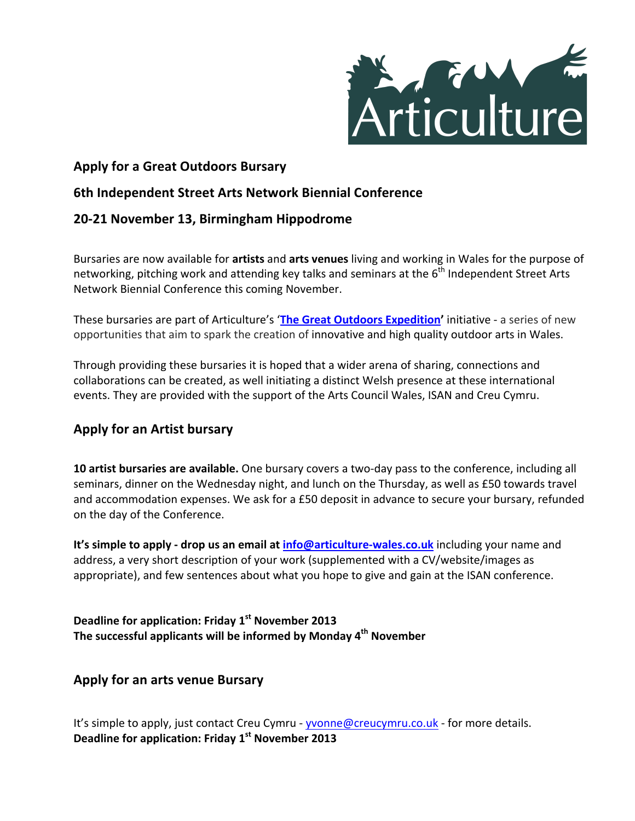

# **Apply for a Great Outdoors Bursary**

## **6th Independent Street Arts Network Biennial Conference**

## **20-21 November 13, Birmingham Hippodrome**

Bursaries are now available for **artists** and arts venues living and working in Wales for the purpose of networking, pitching work and attending key talks and seminars at the  $6<sup>th</sup>$  Independent Street Arts Network Biennial Conference this coming November.

These bursaries are part of Articulture's 'The Great Outdoors Expedition' initiative - a series of new opportunities that aim to spark the creation of innovative and high quality outdoor arts in Wales.

Through providing these bursaries it is hoped that a wider arena of sharing, connections and collaborations can be created, as well initiating a distinct Welsh presence at these international events. They are provided with the support of the Arts Council Wales, ISAN and Creu Cymru.

## **Apply for an Artist bursary**

**10 artist bursaries are available.** One bursary covers a two-day pass to the conference, including all seminars, dinner on the Wednesday night, and lunch on the Thursday, as well as £50 towards travel and accommodation expenses. We ask for a £50 deposit in advance to secure your bursary, refunded on the day of the Conference.

**It's simple to apply - drop us an email at** *info@articulture-wales.co.uk* **including your name and** address, a very short description of your work (supplemented with a CV/website/images as appropriate), and few sentences about what you hope to give and gain at the ISAN conference.

Deadline for application: Friday 1<sup>st</sup> November 2013 The successful applicants will be informed by Monday 4<sup>th</sup> November

## **Apply for an arts venue Bursary**

It's simple to apply, just contact Creu Cymru - yvonne@creucymru.co.uk - for more details. Deadline for application: Friday 1<sup>st</sup> November 2013